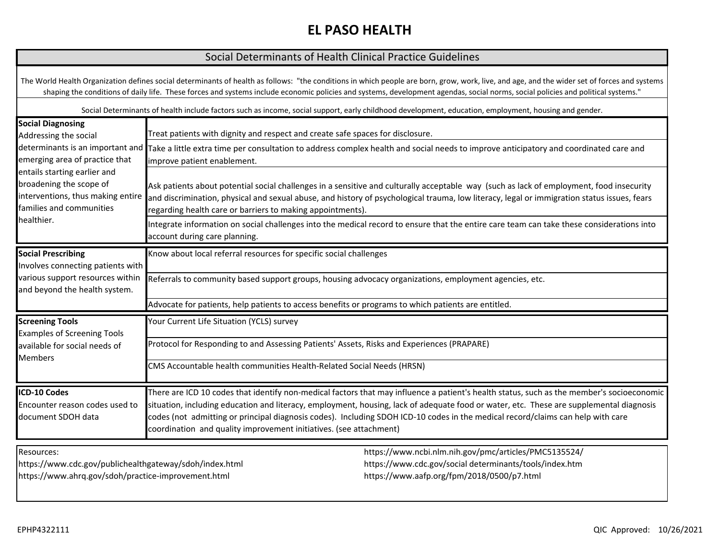# **EL PASO HEALTH**

### Social Determinants of Health Clinical Practice Guidelines

The World Health Organization defines social determinants of health as follows: "the conditions in which people are born, grow, work, live, and age, and the wider set of forces and systems shaping the conditions of daily life. These forces and systems include economic policies and systems, development agendas, social norms, social policies and political systems."

Social Determinants of health include factors such as income, social support, early childhood development, education, employment, housing and gender.

| <b>Social Diagnosing</b><br>Addressing the social                                                                                      | Treat patients with dignity and respect and create safe spaces for disclosure.<br>determinants is an important and Take a little extra time per consultation to address complex health and social needs to improve anticipatory and coordinated care and<br>improve patient enablement.                                                                                                                                                                                                       |                                                                                                                                                                |  |
|----------------------------------------------------------------------------------------------------------------------------------------|-----------------------------------------------------------------------------------------------------------------------------------------------------------------------------------------------------------------------------------------------------------------------------------------------------------------------------------------------------------------------------------------------------------------------------------------------------------------------------------------------|----------------------------------------------------------------------------------------------------------------------------------------------------------------|--|
| emerging area of practice that                                                                                                         |                                                                                                                                                                                                                                                                                                                                                                                                                                                                                               |                                                                                                                                                                |  |
| entails starting earlier and<br>broadening the scope of<br>interventions, thus making entire<br>families and communities<br>healthier. | Ask patients about potential social challenges in a sensitive and culturally acceptable way (such as lack of employment, food insecurity<br>and discrimination, physical and sexual abuse, and history of psychological trauma, low literacy, legal or immigration status issues, fears<br>regarding health care or barriers to making appointments).                                                                                                                                         |                                                                                                                                                                |  |
|                                                                                                                                        | Integrate information on social challenges into the medical record to ensure that the entire care team can take these considerations into<br>account during care planning.                                                                                                                                                                                                                                                                                                                    |                                                                                                                                                                |  |
| <b>Social Prescribing</b><br>Involves connecting patients with                                                                         | Know about local referral resources for specific social challenges                                                                                                                                                                                                                                                                                                                                                                                                                            |                                                                                                                                                                |  |
| various support resources within<br>and beyond the health system.                                                                      | Referrals to community based support groups, housing advocacy organizations, employment agencies, etc.                                                                                                                                                                                                                                                                                                                                                                                        |                                                                                                                                                                |  |
|                                                                                                                                        | Advocate for patients, help patients to access benefits or programs to which patients are entitled.                                                                                                                                                                                                                                                                                                                                                                                           |                                                                                                                                                                |  |
| <b>Screening Tools</b><br><b>Examples of Screening Tools</b>                                                                           | Your Current Life Situation (YCLS) survey                                                                                                                                                                                                                                                                                                                                                                                                                                                     |                                                                                                                                                                |  |
| available for social needs of<br><b>Members</b>                                                                                        | Protocol for Responding to and Assessing Patients' Assets, Risks and Experiences (PRAPARE)                                                                                                                                                                                                                                                                                                                                                                                                    |                                                                                                                                                                |  |
|                                                                                                                                        | CMS Accountable health communities Health-Related Social Needs (HRSN)                                                                                                                                                                                                                                                                                                                                                                                                                         |                                                                                                                                                                |  |
| ICD-10 Codes<br>Encounter reason codes used to<br>document SDOH data                                                                   | There are ICD 10 codes that identify non-medical factors that may influence a patient's health status, such as the member's socioeconomic<br>situation, including education and literacy, employment, housing, lack of adequate food or water, etc. These are supplemental diagnosis<br>codes (not admitting or principal diagnosis codes). Including SDOH ICD-10 codes in the medical record/claims can help with care<br>coordination and quality improvement initiatives. (see attachment) |                                                                                                                                                                |  |
| Resources:<br>https://www.cdc.gov/publichealthgateway/sdoh/index.html<br>https://www.ahrq.gov/sdoh/practice-improvement.html           |                                                                                                                                                                                                                                                                                                                                                                                                                                                                                               | https://www.ncbi.nlm.nih.gov/pmc/articles/PMC5135524/<br>https://www.cdc.gov/social determinants/tools/index.htm<br>https://www.aafp.org/fpm/2018/0500/p7.html |  |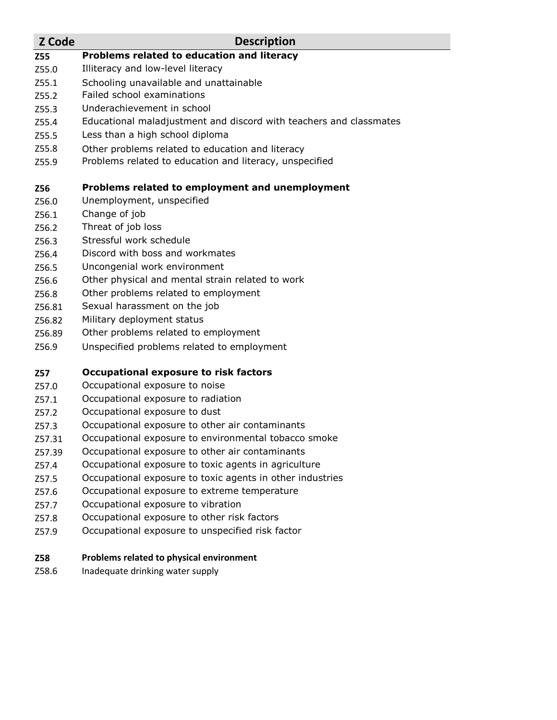#### **Z Code Description**

- **[Z55](https://www.icd10data.com/ICD10CM/Codes/Z00-Z99/Z55-Z65/Z55-/Z55) Problems related to education and literacy**
- Z55.0 Illiteracy and low-level literacy
- Z55.1 Schooling unavailable and unattainable
- Z55.2 Failed school examinations
- Z55.3 Underachievement in school
- Z55.4 Educational maladjustment and discord with teachers and classmates
- Z55.5 Less than a high school diploma
- Z55.8 Other problems related to education and literacy
- Z55.9 Problems related to education and literacy, unspecified

### **Z56 Problems related to employment and unemployment**

- Z56.0 Unemployment, unspecified
- Z56.1 Change of job
- Z56.2 Threat of job loss
- Z56.3 Stressful work schedule
- Z56.4 Discord with boss and workmates
- Z56.5 Uncongenial work environment
- Z56.6 Other physical and mental strain related to work
- Z56.8 Other problems related to employment
- Z56.81 Sexual harassment on the job
- Z56.82 Military deployment status
- Z56.89 Other problems related to employment
- Z56.9 Unspecified problems related to employment

## **Z57 Occupational exposure to risk factors**

- Z57.0 Occupational exposure to noise
- Z57.1 Occupational exposure to radiation
- Z57.2 Occupational exposure to dust
- Z57.3 Occupational exposure to other air contaminants
- Z57.31 Occupational exposure to environmental tobacco smoke
- Z57.39 Occupational exposure to other air contaminants
- Z57.4 Occupational exposure to toxic agents in agriculture
- Z57.5 Occupational exposure to toxic agents in other industries
- Z57.6 Occupational exposure to extreme temperature
- Z57.7 Occupational exposure to vibration
- Z57.8 Occupational exposure to other risk factors
- Z57.9 Occupational exposure to unspecified risk factor

#### **Z58 Problems related to physical environment**

Z58.6 Inadequate drinking water supply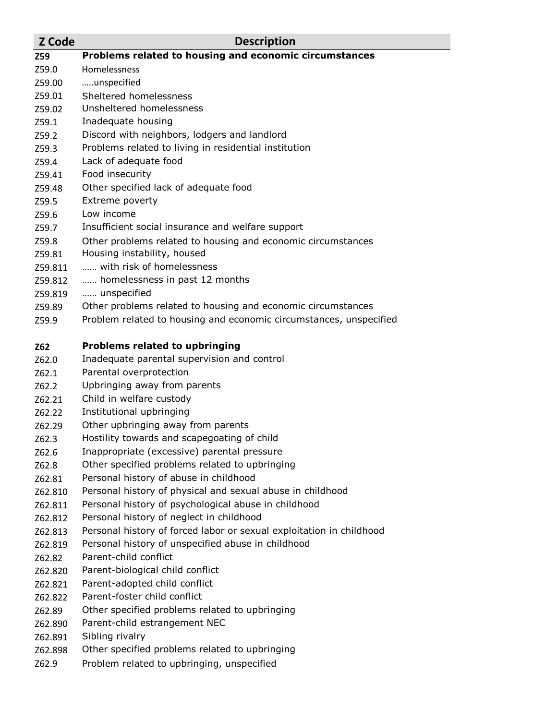- **Z Code Description Z59 Problems related to housing and economic circumstances** Z59.0 Homelessness Z59.00 …..unspecified Z59.01 Sheltered homelessness Z59.02 Unsheltered homelessness Z59.1 Inadequate housing Z59.2 Discord with neighbors, lodgers and landlord Z59.3 Problems related to living in residential institution Z59.4 Lack of adequate food Z59.41 Food insecurity Z59.48 Other specified lack of adequate food Z59.5 Extreme poverty Z59.6 Low income Z59.7 Insufficient social insurance and welfare support Z59.8 Other problems related to housing and economic circumstances Z59.81 Housing instability, housed Z59.811 …… with risk of homelessness Z59.812 …… homelessness in past 12 months Z59.819 …… unspecified Z59.89 Other problems related to housing and economic circumstances Z59.9 Problem related to housing and economic circumstances, unspecified **Z62 Problems related to upbringing**
- Z62.0 Inadequate parental supervision and control
- Z62.1 Parental overprotection
- Z62.2 Upbringing away from parents
- Z62.21 Child in welfare custody
- Z62.22 Institutional upbringing
- Z62.29 Other upbringing away from parents
- Z62.3 Hostility towards and scapegoating of child
- Z62.6 Inappropriate (excessive) parental pressure
- Z62.8 Other specified problems related to upbringing
- Z62.81 Personal history of abuse in childhood
- Z62.810 Personal history of physical and sexual abuse in childhood
- Z62.811 Personal history of psychological abuse in childhood
- Z62.812 Personal history of neglect in childhood
- Z62.813 Personal history of forced labor or sexual exploitation in childhood
- Z62.819 Personal history of unspecified abuse in childhood
- Z62.82 Parent-child conflict
- Z62.820 Parent-biological child conflict
- Z62.821 Parent-adopted child conflict
- Z62.822 Parent-foster child conflict
- Z62.89 Other specified problems related to upbringing
- Z62.890 Parent-child estrangement NEC
- Z62.891 Sibling rivalry
- Z62.898 Other specified problems related to upbringing
- Z62.9 Problem related to upbringing, unspecified